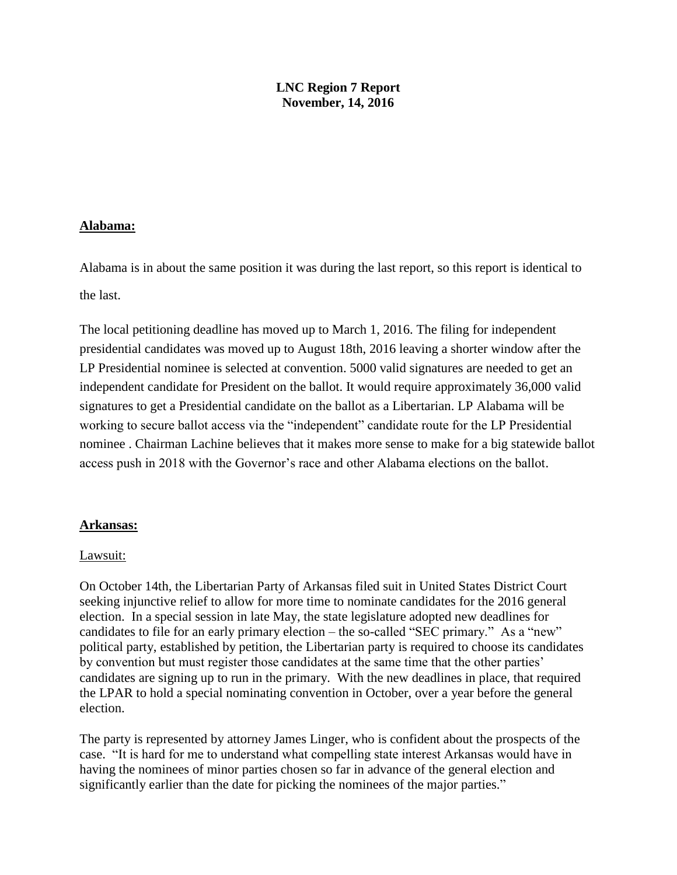## **LNC Region 7 Report November, 14, 2016**

## **Alabama:**

Alabama is in about the same position it was during the last report, so this report is identical to the last.

The local petitioning deadline has moved up to March 1, 2016. The filing for independent presidential candidates was moved up to August 18th, 2016 leaving a shorter window after the LP Presidential nominee is selected at convention. 5000 valid signatures are needed to get an independent candidate for President on the ballot. It would require approximately 36,000 valid signatures to get a Presidential candidate on the ballot as a Libertarian. LP Alabama will be working to secure ballot access via the "independent" candidate route for the LP Presidential nominee . Chairman Lachine believes that it makes more sense to make for a big statewide ballot access push in 2018 with the Governor's race and other Alabama elections on the ballot.

## **Arkansas:**

## Lawsuit:

On October 14th, the Libertarian Party of Arkansas filed suit in United States District Court seeking injunctive relief to allow for more time to nominate candidates for the 2016 general election. In a special session in late May, the state legislature adopted new deadlines for candidates to file for an early primary election – the so-called "SEC primary." As a "new" political party, established by petition, the Libertarian party is required to choose its candidates by convention but must register those candidates at the same time that the other parties' candidates are signing up to run in the primary. With the new deadlines in place, that required the LPAR to hold a special nominating convention in October, over a year before the general election.

The party is represented by attorney James Linger, who is confident about the prospects of the case. "It is hard for me to understand what compelling state interest Arkansas would have in having the nominees of minor parties chosen so far in advance of the general election and significantly earlier than the date for picking the nominees of the major parties."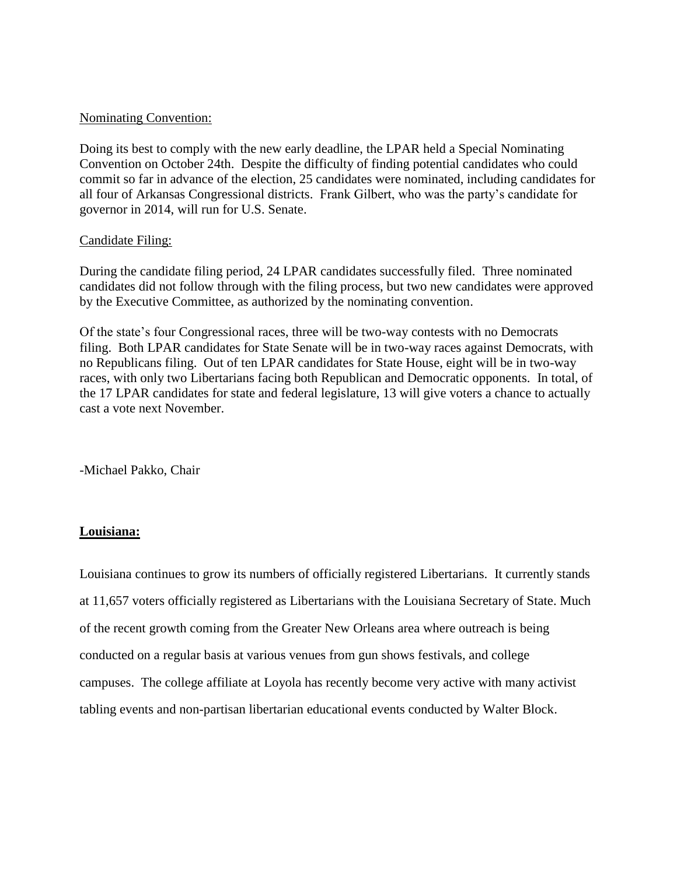### Nominating Convention:

Doing its best to comply with the new early deadline, the LPAR held a Special Nominating Convention on October 24th. Despite the difficulty of finding potential candidates who could commit so far in advance of the election, 25 candidates were nominated, including candidates for all four of Arkansas Congressional districts. Frank Gilbert, who was the party's candidate for governor in 2014, will run for U.S. Senate.

### Candidate Filing:

During the candidate filing period, 24 LPAR candidates successfully filed. Three nominated candidates did not follow through with the filing process, but two new candidates were approved by the Executive Committee, as authorized by the nominating convention.

Of the state's four Congressional races, three will be two-way contests with no Democrats filing. Both LPAR candidates for State Senate will be in two-way races against Democrats, with no Republicans filing. Out of ten LPAR candidates for State House, eight will be in two-way races, with only two Libertarians facing both Republican and Democratic opponents. In total, of the 17 LPAR candidates for state and federal legislature, 13 will give voters a chance to actually cast a vote next November.

-Michael Pakko, Chair

## **Louisiana:**

Louisiana continues to grow its numbers of officially registered Libertarians. It currently stands at 11,657 voters officially registered as Libertarians with the Louisiana Secretary of State. Much of the recent growth coming from the Greater New Orleans area where outreach is being conducted on a regular basis at various venues from gun shows festivals, and college campuses. The college affiliate at Loyola has recently become very active with many activist tabling events and non-partisan libertarian educational events conducted by Walter Block.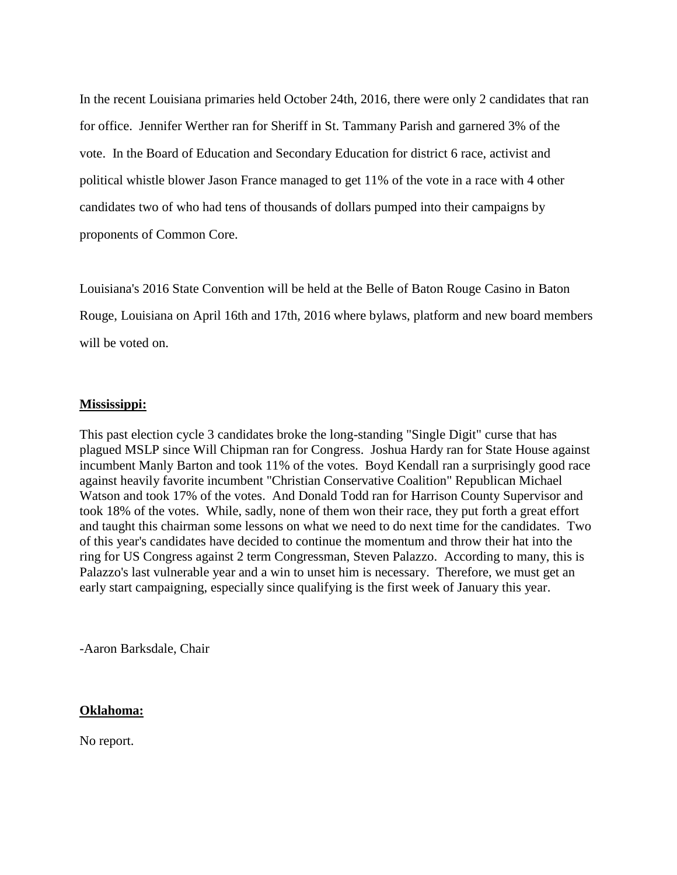In the recent Louisiana primaries held October 24th, 2016, there were only 2 candidates that ran for office. Jennifer Werther ran for Sheriff in St. Tammany Parish and garnered 3% of the vote. In the Board of Education and Secondary Education for district 6 race, activist and political whistle blower Jason France managed to get 11% of the vote in a race with 4 other candidates two of who had tens of thousands of dollars pumped into their campaigns by proponents of Common Core.

Louisiana's 2016 State Convention will be held at the Belle of Baton Rouge Casino in Baton Rouge, Louisiana on April 16th and 17th, 2016 where bylaws, platform and new board members will be voted on.

## **Mississippi:**

This past election cycle 3 candidates broke the long-standing "Single Digit" curse that has plagued MSLP since Will Chipman ran for Congress. Joshua Hardy ran for State House against incumbent Manly Barton and took 11% of the votes. Boyd Kendall ran a surprisingly good race against heavily favorite incumbent "Christian Conservative Coalition" Republican Michael Watson and took 17% of the votes. And Donald Todd ran for Harrison County Supervisor and took 18% of the votes. While, sadly, none of them won their race, they put forth a great effort and taught this chairman some lessons on what we need to do next time for the candidates. Two of this year's candidates have decided to continue the momentum and throw their hat into the ring for US Congress against 2 term Congressman, Steven Palazzo. According to many, this is Palazzo's last vulnerable year and a win to unset him is necessary. Therefore, we must get an early start campaigning, especially since qualifying is the first week of January this year.

-Aaron Barksdale, Chair

#### **Oklahoma:**

No report.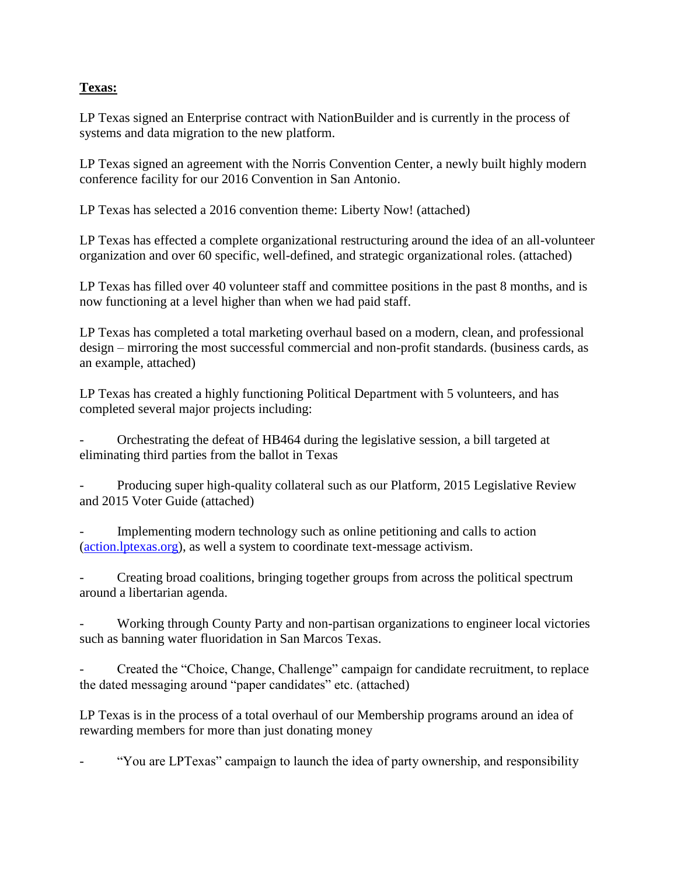# **Texas:**

LP Texas signed an Enterprise contract with NationBuilder and is currently in the process of systems and data migration to the new platform.

LP Texas signed an agreement with the Norris Convention Center, a newly built highly modern conference facility for our 2016 Convention in San Antonio.

LP Texas has selected a 2016 convention theme: Liberty Now! (attached)

LP Texas has effected a complete organizational restructuring around the idea of an all-volunteer organization and over 60 specific, well-defined, and strategic organizational roles. (attached)

LP Texas has filled over 40 volunteer staff and committee positions in the past 8 months, and is now functioning at a level higher than when we had paid staff.

LP Texas has completed a total marketing overhaul based on a modern, clean, and professional design – mirroring the most successful commercial and non-profit standards. (business cards, as an example, attached)

LP Texas has created a highly functioning Political Department with 5 volunteers, and has completed several major projects including:

- Orchestrating the defeat of HB464 during the legislative session, a bill targeted at eliminating third parties from the ballot in Texas

Producing super high-quality collateral such as our Platform, 2015 Legislative Review and 2015 Voter Guide (attached)

Implementing modern technology such as online petitioning and calls to action [\(action.lptexas.org\)](http://action.lptexas.org/), as well a system to coordinate text-message activism.

Creating broad coalitions, bringing together groups from across the political spectrum around a libertarian agenda.

Working through County Party and non-partisan organizations to engineer local victories such as banning water fluoridation in San Marcos Texas.

- Created the "Choice, Change, Challenge" campaign for candidate recruitment, to replace the dated messaging around "paper candidates" etc. (attached)

LP Texas is in the process of a total overhaul of our Membership programs around an idea of rewarding members for more than just donating money

"You are LPTexas" campaign to launch the idea of party ownership, and responsibility